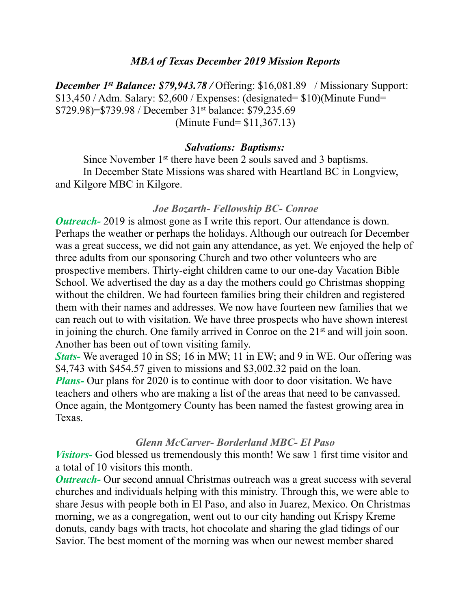### *MBA of Texas December 2019 Mission Reports*

*December 1st Balance: \$79,943.78 /* Offering: \$16,081.89 / Missionary Support: \$13,450 / Adm. Salary: \$2,600 / Expenses: (designated= \$10)(Minute Fund= \$729.98)=\$739.98 / December 31st balance: \$79,235.69 (Minute Fund= \$11,367.13)

### *Salvations: Baptisms:*

 Since November 1st there have been 2 souls saved and 3 baptisms. In December State Missions was shared with Heartland BC in Longview, and Kilgore MBC in Kilgore.

### *Joe Bozarth- Fellowship BC- Conroe*

*Outreach*- 2019 is almost gone as I write this report. Our attendance is down. Perhaps the weather or perhaps the holidays. Although our outreach for December was a great success, we did not gain any attendance, as yet. We enjoyed the help of three adults from our sponsoring Church and two other volunteers who are prospective members. Thirty-eight children came to our one-day Vacation Bible School. We advertised the day as a day the mothers could go Christmas shopping without the children. We had fourteen families bring their children and registered them with their names and addresses. We now have fourteen new families that we can reach out to with visitation. We have three prospects who have shown interest in joining the church. One family arrived in Conroe on the 21st and will join soon. Another has been out of town visiting family.

*Stats-* We averaged 10 in SS; 16 in MW; 11 in EW; and 9 in WE. Our offering was \$4,743 with \$454.57 given to missions and \$3,002.32 paid on the loan. *Plans*- Our plans for 2020 is to continue with door to door visitation. We have

teachers and others who are making a list of the areas that need to be canvassed. Once again, the Montgomery County has been named the fastest growing area in Texas.

## *Glenn McCarver- Borderland MBC- El Paso*

*Visitors-* God blessed us tremendously this month! We saw 1 first time visitor and a total of 10 visitors this month.

*Outreach*- Our second annual Christmas outreach was a great success with several churches and individuals helping with this ministry. Through this, we were able to share Jesus with people both in El Paso, and also in Juarez, Mexico. On Christmas morning, we as a congregation, went out to our city handing out Krispy Kreme donuts, candy bags with tracts, hot chocolate and sharing the glad tidings of our Savior. The best moment of the morning was when our newest member shared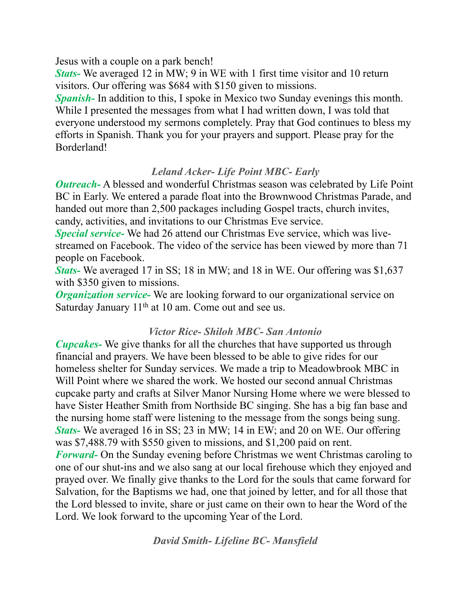Jesus with a couple on a park bench!

*Stats-* We averaged 12 in MW; 9 in WE with 1 first time visitor and 10 return visitors. Our offering was \$684 with \$150 given to missions.

*Spanish-* In addition to this, I spoke in Mexico two Sunday evenings this month. While I presented the messages from what I had written down, I was told that everyone understood my sermons completely. Pray that God continues to bless my efforts in Spanish. Thank you for your prayers and support. Please pray for the Borderland!

# *Leland Acker- Life Point MBC- Early*

*Outreach*- A blessed and wonderful Christmas season was celebrated by Life Point BC in Early. We entered a parade float into the Brownwood Christmas Parade, and handed out more than 2,500 packages including Gospel tracts, church invites, candy, activities, and invitations to our Christmas Eve service.

*Special service-* We had 26 attend our Christmas Eve service, which was livestreamed on Facebook. The video of the service has been viewed by more than 71 people on Facebook.

*Stats-* We averaged 17 in SS; 18 in MW; and 18 in WE. Our offering was \$1,637 with \$350 given to missions.

*Organization service-* We are looking forward to our organizational service on Saturday January 11<sup>th</sup> at 10 am. Come out and see us.

# *Victor Rice- Shiloh MBC- San Antonio*

*Cupcakes-* We give thanks for all the churches that have supported us through financial and prayers. We have been blessed to be able to give rides for our homeless shelter for Sunday services. We made a trip to Meadowbrook MBC in Will Point where we shared the work. We hosted our second annual Christmas cupcake party and crafts at Silver Manor Nursing Home where we were blessed to have Sister Heather Smith from Northside BC singing. She has a big fan base and the nursing home staff were listening to the message from the songs being sung. *Stats-* We averaged 16 in SS; 23 in MW; 14 in EW; and 20 on WE. Our offering was \$7,488.79 with \$550 given to missions, and \$1,200 paid on rent.

*Forward-* On the Sunday evening before Christmas we went Christmas caroling to one of our shut-ins and we also sang at our local firehouse which they enjoyed and prayed over. We finally give thanks to the Lord for the souls that came forward for Salvation, for the Baptisms we had, one that joined by letter, and for all those that the Lord blessed to invite, share or just came on their own to hear the Word of the Lord. We look forward to the upcoming Year of the Lord.

*David Smith- Lifeline BC- Mansfield*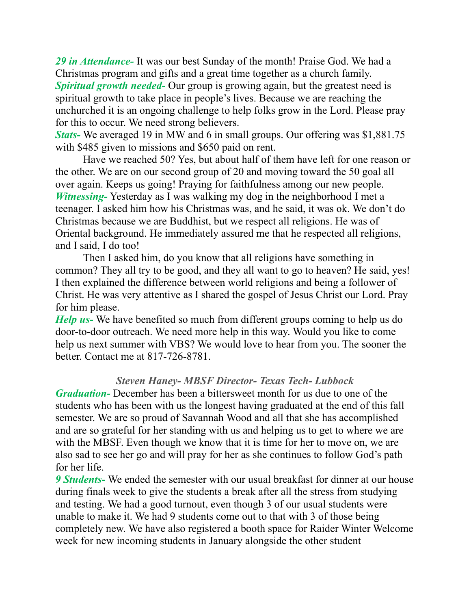*29 in Attendance-* It was our best Sunday of the month! Praise God. We had a Christmas program and gifts and a great time together as a church family. *Spiritual growth needed-* Our group is growing again, but the greatest need is spiritual growth to take place in people's lives. Because we are reaching the unchurched it is an ongoing challenge to help folks grow in the Lord. Please pray for this to occur. We need strong believers.

*Stats-* We averaged 19 in MW and 6 in small groups. Our offering was \$1,881.75 with \$485 given to missions and \$650 paid on rent.

 Have we reached 50? Yes, but about half of them have left for one reason or the other. We are on our second group of 20 and moving toward the 50 goal all over again. Keeps us going! Praying for faithfulness among our new people. *Witnessing*-Yesterday as I was walking my dog in the neighborhood I met a teenager. I asked him how his Christmas was, and he said, it was ok. We don't do Christmas because we are Buddhist, but we respect all religions. He was of Oriental background. He immediately assured me that he respected all religions, and I said, I do too!

 Then I asked him, do you know that all religions have something in common? They all try to be good, and they all want to go to heaven? He said, yes! I then explained the difference between world religions and being a follower of Christ. He was very attentive as I shared the gospel of Jesus Christ our Lord. Pray for him please.

*Help us*- We have benefited so much from different groups coming to help us do door-to-door outreach. We need more help in this way. Would you like to come help us next summer with VBS? We would love to hear from you. The sooner the better. Contact me at 817-726-8781.

## *Steven Haney- MBSF Director- Texas Tech- Lubbock*

*Graduation-* December has been a bittersweet month for us due to one of the students who has been with us the longest having graduated at the end of this fall semester. We are so proud of Savannah Wood and all that she has accomplished and are so grateful for her standing with us and helping us to get to where we are with the MBSF. Even though we know that it is time for her to move on, we are also sad to see her go and will pray for her as she continues to follow God's path for her life.

*9 Students-* We ended the semester with our usual breakfast for dinner at our house during finals week to give the students a break after all the stress from studying and testing. We had a good turnout, even though 3 of our usual students were unable to make it. We had 9 students come out to that with 3 of those being completely new. We have also registered a booth space for Raider Winter Welcome week for new incoming students in January alongside the other student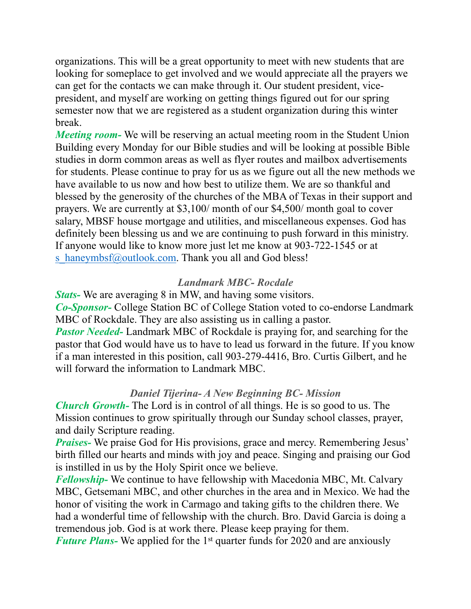organizations. This will be a great opportunity to meet with new students that are looking for someplace to get involved and we would appreciate all the prayers we can get for the contacts we can make through it. Our student president, vicepresident, and myself are working on getting things figured out for our spring semester now that we are registered as a student organization during this winter break.

*Meeting room-* We will be reserving an actual meeting room in the Student Union Building every Monday for our Bible studies and will be looking at possible Bible studies in dorm common areas as well as flyer routes and mailbox advertisements for students. Please continue to pray for us as we figure out all the new methods we have available to us now and how best to utilize them. We are so thankful and blessed by the generosity of the churches of the MBA of Texas in their support and prayers. We are currently at \$3,100/ month of our \$4,500/ month goal to cover salary, MBSF house mortgage and utilities, and miscellaneous expenses. God has definitely been blessing us and we are continuing to push forward in this ministry. If anyone would like to know more just let me know at 903-722-1545 or at [s\\_haneymbsf@outlook.com](mailto:s_haneymbsf@outlook.com). Thank you all and God bless!

# *Landmark MBC- Rocdale*

*Stats-* We are averaging 8 in MW, and having some visitors. *Co-Sponsor-* College Station BC of College Station voted to co-endorse Landmark MBC of Rockdale. They are also assisting us in calling a pastor. *Pastor Needed-* Landmark MBC of Rockdale is praying for, and searching for the pastor that God would have us to have to lead us forward in the future. If you know if a man interested in this position, call 903-279-4416, Bro. Curtis Gilbert, and he will forward the information to Landmark MBC.

# *Daniel Tijerina- A New Beginning BC- Mission*

*Church Growth-* The Lord is in control of all things. He is so good to us. The Mission continues to grow spiritually through our Sunday school classes, prayer, and daily Scripture reading.

*Praises*- We praise God for His provisions, grace and mercy. Remembering Jesus' birth filled our hearts and minds with joy and peace. Singing and praising our God is instilled in us by the Holy Spirit once we believe.

*Fellowship-* We continue to have fellowship with Macedonia MBC, Mt. Calvary MBC, Getsemani MBC, and other churches in the area and in Mexico. We had the honor of visiting the work in Carmago and taking gifts to the children there. We had a wonderful time of fellowship with the church. Bro. David Garcia is doing a tremendous job. God is at work there. Please keep praying for them.

*Future Plans-* We applied for the 1<sup>st</sup> quarter funds for 2020 and are anxiously